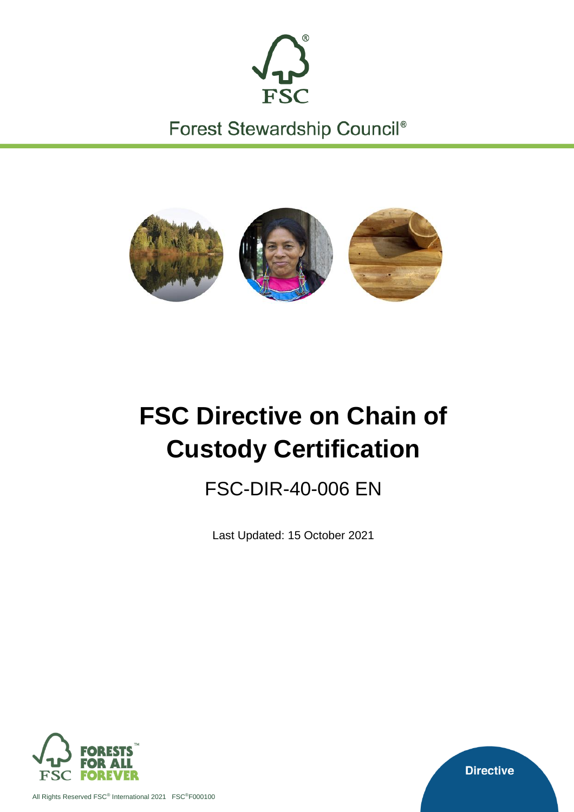

Forest Stewardship Council®



# **FSC Directive on Chain of Custody Certification**

FSC-DIR-40-006 EN

Last Updated: 15 October 2021



All Rights Reserved FSC® International 2021 FSC®F000100

**Directive**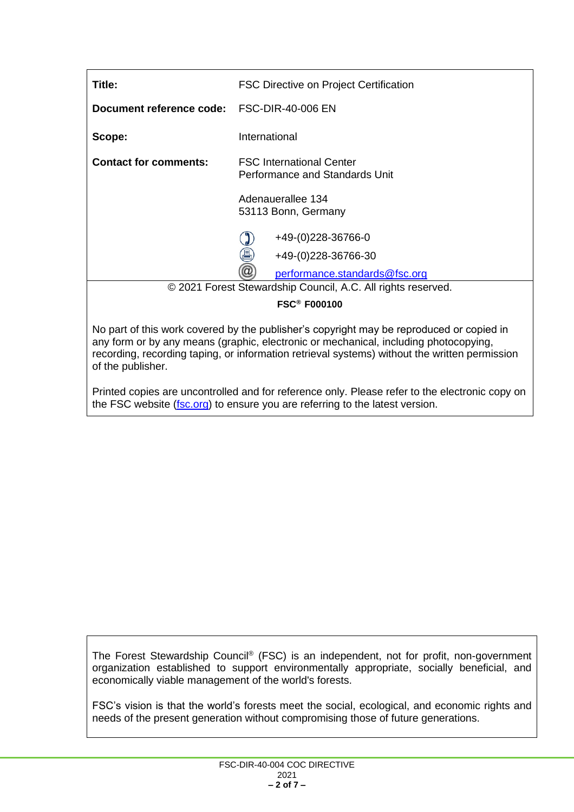| Title:                                                       | <b>FSC Directive on Project Certification</b>                     |  |
|--------------------------------------------------------------|-------------------------------------------------------------------|--|
| Document reference code: FSC-DIR-40-006 EN                   |                                                                   |  |
| Scope:                                                       | International                                                     |  |
| <b>Contact for comments:</b>                                 | <b>FSC International Center</b><br>Performance and Standards Unit |  |
|                                                              | Adenauerallee 134<br>53113 Bonn, Germany                          |  |
|                                                              | +49-(0)228-36766-0<br>昌<br>+49-(0)228-36766-30                    |  |
|                                                              | $^{\textregistered}$<br>performance.standards@fsc.org             |  |
| © 2021 Forest Stewardship Council, A.C. All rights reserved. |                                                                   |  |
|                                                              | <b>FSC<sup>®</sup> F000100</b>                                    |  |

No part of this work covered by the publisher's copyright may be reproduced or copied in any form or by any means (graphic, electronic or mechanical, including photocopying, recording, recording taping, or information retrieval systems) without the written permission of the publisher.

Printed copies are uncontrolled and for reference only. Please refer to the electronic copy on the FSC website [\(fsc.org\)](http://www.fsc.org/) to ensure you are referring to the latest version.

The Forest Stewardship Council® (FSC) is an independent, not for profit, non-government organization established to support environmentally appropriate, socially beneficial, and economically viable management of the world's forests.

FSC's vision is that the world's forests meet the social, ecological, and economic rights and needs of the present generation without compromising those of future generations.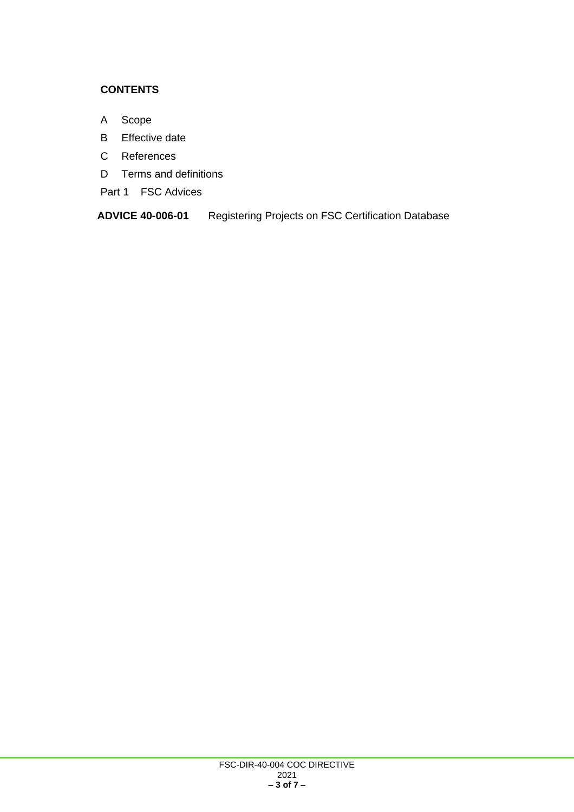#### **CONTENTS**

- A Scope
- B Effective date
- C References
- D Terms and definitions
- Part 1 FSC Advices

**ADVICE 40-006-01** Registering Projects on FSC Certification Database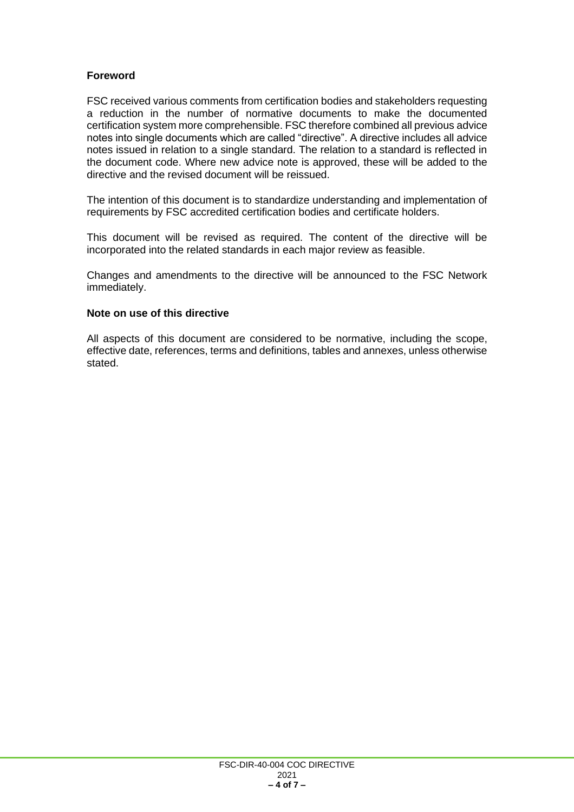#### **Foreword**

FSC received various comments from certification bodies and stakeholders requesting a reduction in the number of normative documents to make the documented certification system more comprehensible. FSC therefore combined all previous advice notes into single documents which are called "directive". A directive includes all advice notes issued in relation to a single standard. The relation to a standard is reflected in the document code. Where new advice note is approved, these will be added to the directive and the revised document will be reissued.

The intention of this document is to standardize understanding and implementation of requirements by FSC accredited certification bodies and certificate holders.

This document will be revised as required. The content of the directive will be incorporated into the related standards in each major review as feasible.

Changes and amendments to the directive will be announced to the FSC Network immediately.

#### **Note on use of this directive**

All aspects of this document are considered to be normative, including the scope, effective date, references, terms and definitions, tables and annexes, unless otherwise stated.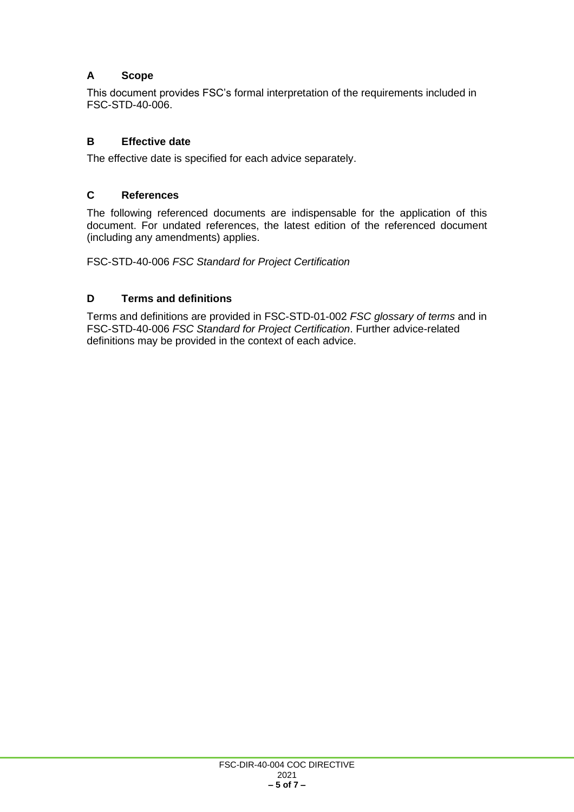## **A Scope**

This document provides FSC's formal interpretation of the requirements included in FSC-STD-40-006.

#### **B Effective date**

The effective date is specified for each advice separately.

#### **C References**

The following referenced documents are indispensable for the application of this document. For undated references, the latest edition of the referenced document (including any amendments) applies.

FSC-STD-40-006 *FSC Standard for Project Certification*

## **D Terms and definitions**

Terms and definitions are provided in FSC-STD-01-002 *FSC glossary of terms* and in FSC-STD-40-006 *FSC Standard for Project Certification*. Further advice-related definitions may be provided in the context of each advice.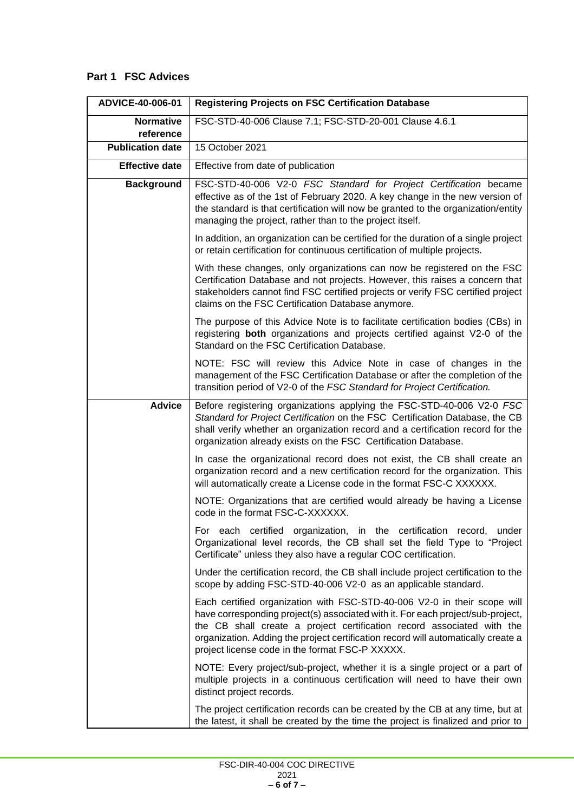# **Part 1 FSC Advices**

| ADVICE-40-006-01              | <b>Registering Projects on FSC Certification Database</b>                                                                                                                                                                                                                                                                                                                     |
|-------------------------------|-------------------------------------------------------------------------------------------------------------------------------------------------------------------------------------------------------------------------------------------------------------------------------------------------------------------------------------------------------------------------------|
| <b>Normative</b><br>reference | FSC-STD-40-006 Clause 7.1; FSC-STD-20-001 Clause 4.6.1                                                                                                                                                                                                                                                                                                                        |
| <b>Publication date</b>       | 15 October 2021                                                                                                                                                                                                                                                                                                                                                               |
| <b>Effective date</b>         | Effective from date of publication                                                                                                                                                                                                                                                                                                                                            |
| <b>Background</b>             | FSC-STD-40-006 V2-0 FSC Standard for Project Certification became<br>effective as of the 1st of February 2020. A key change in the new version of<br>the standard is that certification will now be granted to the organization/entity<br>managing the project, rather than to the project itself.                                                                            |
|                               | In addition, an organization can be certified for the duration of a single project<br>or retain certification for continuous certification of multiple projects.                                                                                                                                                                                                              |
|                               | With these changes, only organizations can now be registered on the FSC<br>Certification Database and not projects. However, this raises a concern that<br>stakeholders cannot find FSC certified projects or verify FSC certified project<br>claims on the FSC Certification Database anymore.                                                                               |
|                               | The purpose of this Advice Note is to facilitate certification bodies (CBs) in<br>registering both organizations and projects certified against V2-0 of the<br>Standard on the FSC Certification Database.                                                                                                                                                                    |
|                               | NOTE: FSC will review this Advice Note in case of changes in the<br>management of the FSC Certification Database or after the completion of the<br>transition period of V2-0 of the FSC Standard for Project Certification.                                                                                                                                                   |
| <b>Advice</b>                 | Before registering organizations applying the FSC-STD-40-006 V2-0 FSC<br>Standard for Project Certification on the FSC Certification Database, the CB<br>shall verify whether an organization record and a certification record for the<br>organization already exists on the FSC Certification Database.                                                                     |
|                               | In case the organizational record does not exist, the CB shall create an<br>organization record and a new certification record for the organization. This<br>will automatically create a License code in the format FSC-C XXXXXX.                                                                                                                                             |
|                               | NOTE: Organizations that are certified would already be having a License<br>code in the format FSC-C-XXXXXX.                                                                                                                                                                                                                                                                  |
|                               | For each certified organization, in the certification record, under<br>Organizational level records, the CB shall set the field Type to "Project<br>Certificate" unless they also have a regular COC certification.                                                                                                                                                           |
|                               | Under the certification record, the CB shall include project certification to the<br>scope by adding FSC-STD-40-006 V2-0 as an applicable standard.                                                                                                                                                                                                                           |
|                               | Each certified organization with FSC-STD-40-006 V2-0 in their scope will<br>have corresponding project(s) associated with it. For each project/sub-project,<br>the CB shall create a project certification record associated with the<br>organization. Adding the project certification record will automatically create a<br>project license code in the format FSC-P XXXXX. |
|                               | NOTE: Every project/sub-project, whether it is a single project or a part of<br>multiple projects in a continuous certification will need to have their own<br>distinct project records.                                                                                                                                                                                      |
|                               | The project certification records can be created by the CB at any time, but at<br>the latest, it shall be created by the time the project is finalized and prior to                                                                                                                                                                                                           |